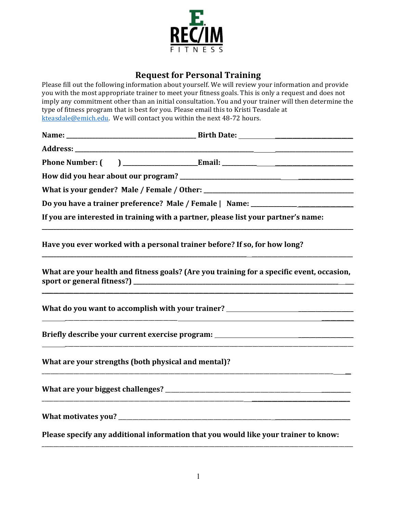

## **Request for Personal Training**

Please fill out the following information about yourself. We will review your information and provide you with the most appropriate trainer to meet your fitness goals. This is only a request and does not imply any commitment other than an initial consultation. You and your trainer will then determine the type of fitness program that is best for you. Please email this to Kristi Teasdale at kteasdale@emich.edu. We will contact you within the next 48-72 hours.

|                                                     | Do you have a trainer preference? Male / Female   Name: ________________________          |
|-----------------------------------------------------|-------------------------------------------------------------------------------------------|
|                                                     | If you are interested in training with a partner, please list your partner's name:        |
|                                                     | Have you ever worked with a personal trainer before? If so, for how long?                 |
|                                                     | What are your health and fitness goals? (Are you training for a specific event, occasion, |
|                                                     | What do you want to accomplish with your trainer? ______________________________          |
|                                                     | Briefly describe your current exercise program: ________________________________          |
| What are your strengths (both physical and mental)? |                                                                                           |
|                                                     |                                                                                           |
|                                                     |                                                                                           |
|                                                     | Please specify any additional information that you would like your trainer to know:       |

\_\_\_\_\_\_\_\_\_\_\_\_\_\_\_\_\_\_\_\_\_\_\_\_\_\_\_\_\_\_\_\_\_\_\_\_\_\_\_\_\_\_\_\_\_\_\_\_\_\_\_\_\_\_\_\_\_\_\_\_\_\_\_\_\_\_\_\_\_\_\_\_\_\_\_\_\_\_\_\_\_\_\_\_\_\_\_\_\_\_\_\_\_\_\_\_\_\_\_\_\_\_\_\_\_\_\_\_